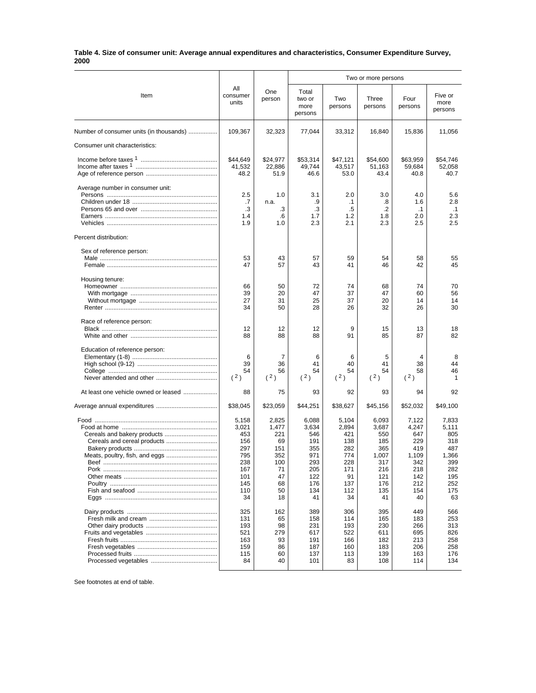## **Table 4. Size of consumer unit: Average annual expenditures and characteristics, Consumer Expenditure Survey, 2000**

|                                         |                                                                                     |                                                                                | Two or more persons                                                                 |                                                                                    |                                                                                       |                                                                                       |                                                                                       |
|-----------------------------------------|-------------------------------------------------------------------------------------|--------------------------------------------------------------------------------|-------------------------------------------------------------------------------------|------------------------------------------------------------------------------------|---------------------------------------------------------------------------------------|---------------------------------------------------------------------------------------|---------------------------------------------------------------------------------------|
| Item                                    | All<br>consumer<br>units                                                            | One<br>person                                                                  | Total<br>two or<br>more<br>persons                                                  | Two<br>persons                                                                     | Three<br>persons                                                                      | Four<br>persons                                                                       | Five or<br>more<br>persons                                                            |
| Number of consumer units (in thousands) | 109,367                                                                             | 32,323                                                                         | 77,044                                                                              | 33,312                                                                             | 16,840                                                                                | 15,836                                                                                | 11,056                                                                                |
| Consumer unit characteristics:          |                                                                                     |                                                                                |                                                                                     |                                                                                    |                                                                                       |                                                                                       |                                                                                       |
|                                         | \$44,649<br>41.532<br>48.2                                                          | \$24,977<br>22,886<br>51.9                                                     | \$53,314<br>49,744<br>46.6                                                          | \$47,121<br>43,517<br>53.0                                                         | \$54,600<br>51,163<br>43.4                                                            | \$63,959<br>59,684<br>40.8                                                            | \$54,746<br>52,058<br>40.7                                                            |
| Average number in consumer unit:        | 2.5<br>.7<br>.3<br>1.4<br>1.9                                                       | 1.0<br>n.a.<br>.3<br>.6<br>1.0                                                 | 3.1<br>.9<br>.3<br>1.7<br>2.3                                                       | 2.0<br>$\cdot$ 1<br>.5<br>1.2<br>2.1                                               | 3.0<br>.8<br>.2<br>1.8<br>2.3                                                         | 4.0<br>1.6<br>$\cdot$ 1<br>2.0<br>2.5                                                 | 5.6<br>2.8<br>$\cdot$ 1<br>2.3<br>2.5                                                 |
| Percent distribution:                   |                                                                                     |                                                                                |                                                                                     |                                                                                    |                                                                                       |                                                                                       |                                                                                       |
| Sex of reference person:                | 53<br>47                                                                            | 43<br>57                                                                       | 57<br>43                                                                            | 59<br>41                                                                           | 54<br>46                                                                              | 58<br>42                                                                              | 55<br>45                                                                              |
| Housing tenure:                         | 66<br>39<br>27<br>34                                                                | 50<br>20<br>31<br>50                                                           | 72<br>47<br>25<br>28                                                                | 74<br>37<br>37<br>26                                                               | 68<br>47<br>20<br>32                                                                  | 74<br>60<br>14<br>26                                                                  | 70<br>56<br>14<br>30                                                                  |
| Race of reference person:               | 12<br>88                                                                            | 12<br>88                                                                       | 12<br>88                                                                            | 9<br>91                                                                            | 15<br>85                                                                              | 13<br>87                                                                              | 18<br>82                                                                              |
| Education of reference person:          | 6<br>39<br>54<br>(2)                                                                | 7<br>36<br>56<br>(2)                                                           | 6<br>41<br>54<br>(2)                                                                | 6<br>40<br>54<br>(2)                                                               | 5<br>41<br>54<br>(2)                                                                  | 4<br>38<br>58<br>(2)                                                                  | 8<br>44<br>46<br>1                                                                    |
| At least one vehicle owned or leased    | 88                                                                                  | 75                                                                             | 93                                                                                  | 92                                                                                 | 93                                                                                    | 94                                                                                    | 92                                                                                    |
|                                         | \$38,045                                                                            | \$23,059                                                                       | \$44,251                                                                            | \$38,627                                                                           | \$45,156                                                                              | \$52,032                                                                              | \$49,100                                                                              |
|                                         | 5,158<br>3,021<br>453<br>156<br>297<br>795<br>238<br>167<br>101<br>145<br>110<br>34 | 2,825<br>1,477<br>221<br>69<br>151<br>352<br>100<br>71<br>47<br>68<br>50<br>18 | 6,088<br>3,634<br>546<br>191<br>355<br>971<br>293<br>205<br>122<br>176<br>134<br>41 | 5,104<br>2,894<br>421<br>138<br>282<br>774<br>228<br>171<br>91<br>137<br>112<br>34 | 6,093<br>3,687<br>550<br>185<br>365<br>1,007<br>317<br>216<br>121<br>176<br>135<br>41 | 7,122<br>4,247<br>647<br>229<br>419<br>1,109<br>342<br>218<br>142<br>212<br>154<br>40 | 7,833<br>5,111<br>805<br>318<br>487<br>1,366<br>399<br>282<br>195<br>252<br>175<br>63 |
|                                         | 325<br>131<br>193<br>521<br>163<br>159<br>115<br>84                                 | 162<br>65<br>98<br>279<br>93<br>86<br>60<br>40                                 | 389<br>158<br>231<br>617<br>191<br>187<br>137<br>101                                | 306<br>114<br>193<br>522<br>166<br>160<br>113<br>83                                | 395<br>165<br>230<br>611<br>182<br>183<br>139<br>108                                  | 449<br>183<br>266<br>695<br>213<br>206<br>163<br>114                                  | 566<br>253<br>313<br>826<br>258<br>258<br>176<br>134                                  |

See footnotes at end of table.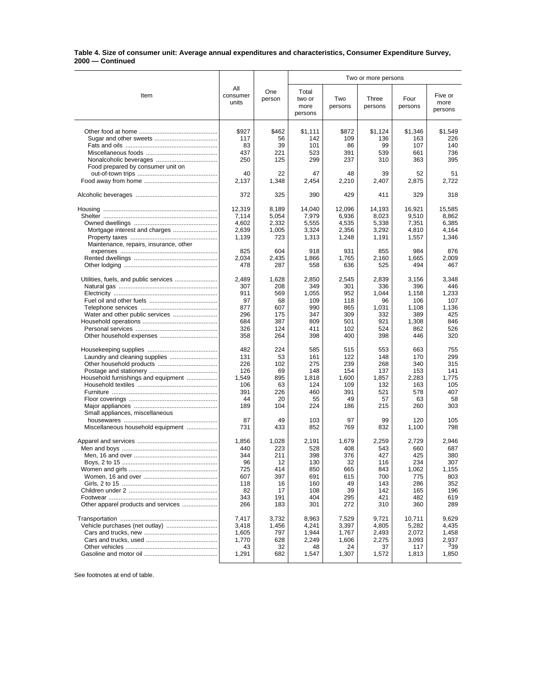## **Table 4. Size of consumer unit: Average annual expenditures and characteristics, Consumer Expenditure Survey, 2000 — Continued**

|                                        |                          |                | Two or more persons                |                 |                  |                 |                            |
|----------------------------------------|--------------------------|----------------|------------------------------------|-----------------|------------------|-----------------|----------------------------|
| Item                                   | All<br>consumer<br>units | One<br>person  | Total<br>two or<br>more<br>persons | Two<br>persons  | Three<br>persons | Four<br>persons | Five or<br>more<br>persons |
|                                        | \$927                    | \$462          | \$1,111                            | \$872           | \$1,124          | \$1,346         | \$1,549                    |
|                                        | 117                      | 56             | 142                                | 109             | 136              | 163             | 226                        |
|                                        | 83                       | 39             | 101                                | 86              | 99               | 107             | 140                        |
|                                        | 437                      | 221            | 523                                | 391             | 539              | 661             | 736                        |
|                                        | 250                      | 125            | 299                                | 237             | 310              | 363             | 395                        |
| Food prepared by consumer unit on      |                          |                |                                    |                 |                  |                 |                            |
|                                        | 40                       | 22             | 47                                 | 48              | 39               | 52              | 51                         |
|                                        | 2.137                    | 1,348          | 2,454                              | 2,210           | 2,407            | 2,875           | 2,722                      |
|                                        | 372                      | 325            | 390                                | 429             | 411              | 329             | 318                        |
|                                        |                          |                |                                    |                 |                  |                 |                            |
|                                        | 12,319<br>7,114          | 8,189<br>5,054 | 14,040                             | 12,096<br>6,936 | 14,193           | 16,921<br>9,510 | 15,585<br>8,862            |
|                                        |                          |                | 7,979                              |                 | 8,023            |                 |                            |
|                                        | 4,602                    | 2,332<br>1,005 | 5,555<br>3,324                     | 4,535           | 5,338<br>3,292   | 7,351<br>4,810  | 6,385                      |
|                                        | 2,639                    |                |                                    | 2,356           |                  |                 | 4,164                      |
|                                        | 1,139                    | 723            | 1,313                              | 1,248           | 1,191            | 1,557           | 1,346                      |
| Maintenance, repairs, insurance, other | 825                      | 604            | 918                                | 931             | 855              | 984             | 876                        |
|                                        | 2,034                    | 2,435          | 1,866                              | 1,765           | 2,160            | 1,665           | 2,009                      |
|                                        | 478                      | 287            | 558                                | 636             | 525              | 494             | 467                        |
|                                        |                          |                |                                    |                 |                  |                 |                            |
|                                        | 2.489                    | 1,628          | 2,850                              | 2,545           | 2,839            | 3,156           | 3,348                      |
|                                        | 307                      | 208            | 349                                | 301             | 336              | 396             | 446                        |
|                                        | 911                      | 569            | 1,055                              | 952             | 1,044            | 1,158           | 1,233                      |
|                                        | 97                       | 68             | 109                                | 118             | 96               | 106             | 107                        |
|                                        | 877                      | 607            | 990                                | 865             | 1,031            | 1,108           | 1.136                      |
|                                        | 296                      | 175            | 347                                | 309             | 332              | 389             | 425                        |
|                                        | 684                      | 387            | 809                                | 501             | 921              | 1,308           | 846                        |
|                                        | 326                      | 124            | 411                                | 102             | 524              | 862             | 526                        |
|                                        | 358                      | 264            | 398                                | 400             | 398              | 446             | 320                        |
|                                        | 482                      | 224            | 585                                | 515             | 553              | 663             | 755                        |
|                                        | 131                      | 53             | 161                                | 122             | 148              | 170             | 299                        |
|                                        | 226                      | 102            | 275                                | 239             | 268              | 340             | 315                        |
|                                        | 126                      | 69             | 148                                | 154             | 137              | 153             | 141                        |
| Household furnishings and equipment    | 1,549                    | 895            | 1,818                              | 1,600           | 1,857            | 2,283           | 1,775                      |
|                                        | 106                      | 63             | 124                                | 109             | 132              | 163             | 105                        |
|                                        | 391                      | 226            | 460                                | 391             | 521              | 578             | 407                        |
|                                        | 44                       | 20             | 55                                 | 49              | 57               | 63              | 58                         |
|                                        | 189                      | 104            | 224                                | 186             | 215              | 260             | 303                        |
| Small appliances, miscellaneous        |                          |                |                                    | 97              |                  |                 |                            |
| Miscellaneous household equipment      | 87<br>731                | 49<br>433      | 103<br>852                         | 769             | 99<br>832        | 120<br>1,100    | 105<br>798                 |
|                                        |                          |                |                                    |                 |                  |                 |                            |
|                                        | 1,856                    | 1,028          | 2,191                              | 1,679           | 2,259            | 2,729           | 2.946                      |
|                                        | 440                      | 223            | 528                                | 408             | 543              | 660             | 687                        |
|                                        | 344                      | 211            | 398                                | 376             | 427              | 425             | 380                        |
|                                        | 96                       | 12             | 130                                | 32              | 116              | 234             | 307                        |
|                                        | 725                      | 414            | 850                                | 665             | 843              | 1,062           | 1,155                      |
|                                        | 607                      | 397            | 691                                | 615             | 700              | 775             | 803                        |
|                                        | 118                      | 16             | 160                                | 49              | 143              | 286             | 352                        |
|                                        | 82                       | 17             | 108                                | 39              | 142              | 165             | 196                        |
| Other apparel products and services    | 343<br>266               | 191<br>183     | 404<br>301                         | 295<br>272      | 421<br>310       | 482<br>360      | 619<br>289                 |
|                                        |                          |                |                                    |                 |                  |                 |                            |
|                                        | 7,417                    | 3,732          | 8,963                              | 7,529           | 9,721            | 10,711          | 9,629                      |
|                                        | 3,418<br>1,605           | 1,456<br>797   | 4,241<br>1,944                     | 3,397<br>1,767  | 4,805            | 5,282<br>2,072  | 4,435<br>1,458             |
|                                        | 1,770                    | 628            | 2,249                              | 1,606           | 2,493<br>2,275   | 3,093           | 2,937                      |
|                                        | 43                       | 32             | 48                                 | 24              | 37               | 117             | 339                        |
|                                        | 1,291                    | 682            | 1,547                              | 1,307           | 1,572            | 1,813           | 1,850                      |
|                                        |                          |                |                                    |                 |                  |                 |                            |

See footnotes at end of table.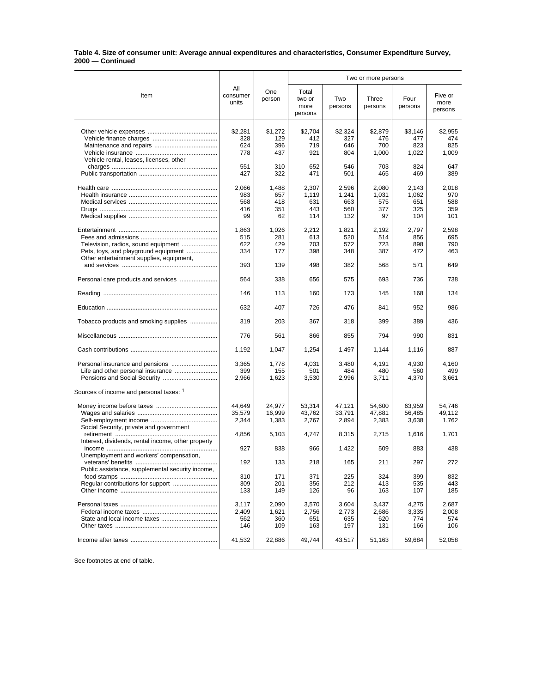## **Table 4. Size of consumer unit: Average annual expenditures and characteristics, Consumer Expenditure Survey, 2000 — Continued**

|                                                                                                                         |                                  |                                  | Two or more persons                 |                                     |                                    |                                     |                                   |  |
|-------------------------------------------------------------------------------------------------------------------------|----------------------------------|----------------------------------|-------------------------------------|-------------------------------------|------------------------------------|-------------------------------------|-----------------------------------|--|
| Item                                                                                                                    | All<br>consumer<br>units         | One<br>person                    | Total<br>two or<br>more<br>persons  | Two<br>persons                      | Three<br>persons                   | Four<br>persons                     | Five or<br>more<br>persons        |  |
| Vehicle rental, leases, licenses, other                                                                                 | \$2.281<br>328<br>624<br>778     | \$1,272<br>129<br>396<br>437     | \$2,704<br>412<br>719<br>921        | \$2,324<br>327<br>646<br>804        | \$2,879<br>476<br>700<br>1,000     | \$3,146<br>477<br>823<br>1,022      | \$2.955<br>474<br>825<br>1,009    |  |
|                                                                                                                         | 551<br>427                       | 310<br>322                       | 652<br>471                          | 546<br>501                          | 703<br>465                         | 824<br>469                          | 647<br>389                        |  |
|                                                                                                                         | 2,066<br>983<br>568<br>416<br>99 | 1,488<br>657<br>418<br>351<br>62 | 2,307<br>1,119<br>631<br>443<br>114 | 2,596<br>1,241<br>663<br>560<br>132 | 2,080<br>1,031<br>575<br>377<br>97 | 2,143<br>1,062<br>651<br>325<br>104 | 2,018<br>970<br>588<br>359<br>101 |  |
| Television, radios, sound equipment<br>Pets, toys, and playground equipment<br>Other entertainment supplies, equipment, | 1,863<br>515<br>622<br>334       | 1,026<br>281<br>429<br>177       | 2,212<br>613<br>703<br>398          | 1,821<br>520<br>572<br>348          | 2,192<br>514<br>723<br>387         | 2,797<br>856<br>898<br>472          | 2,598<br>695<br>790<br>463        |  |
|                                                                                                                         | 393                              | 139                              | 498                                 | 382                                 | 568                                | 571                                 | 649                               |  |
| Personal care products and services                                                                                     | 564                              | 338                              | 656                                 | 575                                 | 693                                | 736                                 | 738                               |  |
|                                                                                                                         | 146                              | 113                              | 160                                 | 173                                 | 145                                | 168                                 | 134                               |  |
|                                                                                                                         | 632                              | 407                              | 726                                 | 476                                 | 841                                | 952                                 | 986                               |  |
| Tobacco products and smoking supplies                                                                                   | 319                              | 203                              | 367                                 | 318                                 | 399                                | 389                                 | 436                               |  |
|                                                                                                                         | 776                              | 561                              | 866                                 | 855                                 | 794                                | 990                                 | 831                               |  |
|                                                                                                                         | 1,192                            | 1,047                            | 1,254                               | 1,497                               | 1,144                              | 1,116                               | 887                               |  |
|                                                                                                                         | 3,365<br>399<br>2,966            | 1,778<br>155<br>1,623            | 4,031<br>501<br>3,530               | 3,480<br>484<br>2,996               | 4,191<br>480<br>3,711              | 4,930<br>560<br>4,370               | 4,160<br>499<br>3,661             |  |
| Sources of income and personal taxes: 1                                                                                 |                                  |                                  |                                     |                                     |                                    |                                     |                                   |  |
| Social Security, private and government                                                                                 | 44,649<br>35,579<br>2,344        | 24,977<br>16,999<br>1,383        | 53,314<br>43,762<br>2,767           | 47,121<br>33,791<br>2,894           | 54,600<br>47,881<br>2,383          | 63,959<br>56,485<br>3,638           | 54,746<br>49,112<br>1,762         |  |
| Interest, dividends, rental income, other property                                                                      | 4,856                            | 5,103                            | 4,747                               | 8,315                               | 2,715                              | 1,616                               | 1,701                             |  |
| Unemployment and workers' compensation,                                                                                 | 927                              | 838                              | 966                                 | 1,422                               | 509                                | 883                                 | 438                               |  |
|                                                                                                                         | 192                              | 133                              | 218                                 | 165                                 | 211                                | 297                                 | 272                               |  |
| Public assistance, supplemental security income,                                                                        | 310<br>309<br>133                | 171<br>201<br>149                | 371<br>356<br>126                   | 225<br>212<br>96                    | 324<br>413<br>163                  | 399<br>535<br>107                   | 832<br>443<br>185                 |  |
|                                                                                                                         | 3,117<br>2,409<br>562<br>146     | 2,090<br>1,621<br>360<br>109     | 3,570<br>2,756<br>651<br>163        | 3.604<br>2,773<br>635<br>197        | 3,437<br>2,686<br>620<br>131       | 4,275<br>3,335<br>774<br>166        | 2,687<br>2,008<br>574<br>106      |  |
|                                                                                                                         | 41,532                           | 22,886                           | 49,744                              | 43,517                              | 51,163                             | 59,684                              | 52,058                            |  |

See footnotes at end of table.